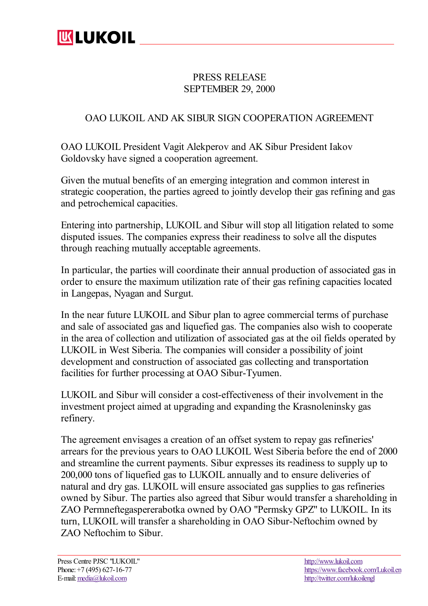

## PRESS RELEASE SEPTEMBER 29, 2000

## OAO LUKOIL AND AK SIBUR SIGN COOPERATION AGREEMENT

OAO LUKOIL President Vagit Alekperov and AK Sibur President Iakov Goldovsky have signed a cooperation agreement.

Given the mutual benefits of an emerging integration and common interest in strategic cooperation, the parties agreed to jointly develop their gas refining and gas and petrochemical capacities.

Entering into partnership, LUKOIL and Sibur will stop all litigation related to some disputed issues. The companies express their readiness to solve all the disputes through reaching mutually acceptable agreements.

In particular, the parties will coordinate their annual production of associated gas in order to ensure the maximum utilization rate of their gas refining capacities located in Langepas, Nyagan and Surgut.

In the near future LUKOIL and Sibur plan to agree commercial terms of purchase and sale of associated gas and liquefied gas. The companies also wish to cooperate in the area of collection and utilization of associated gas at the oil fields operated by LUKOIL in West Siberia. The companies will consider a possibility of joint development and construction of associated gas collecting and transportation facilities for further processing at OAO Sibur-Tyumen.

LUKOIL and Sibur will consider a cost-effectiveness of their involvement in the investment project aimed at upgrading and expanding the Krasnoleninsky gas refinery.

The agreement envisages a creation of an offset system to repay gas refineries' arrears for the previous years to OAO LUKOIL West Siberia before the end of 2000 and streamline the current payments. Sibur expresses its readiness to supply up to 200,000 tons of liquefied gas to LUKOIL annually and to ensure deliveries of natural and dry gas. LUKOIL will ensure associated gas supplies to gas refineries owned by Sibur. The parties also agreed that Sibur would transfer a shareholding in ZAO Permneftegaspererabotka owned by OAO "Permsky GPZ" to LUKOIL. In its turn, LUKOIL will transfer a shareholding in OAO Sibur-Neftochim owned by ZAO Neftochim to Sibur.